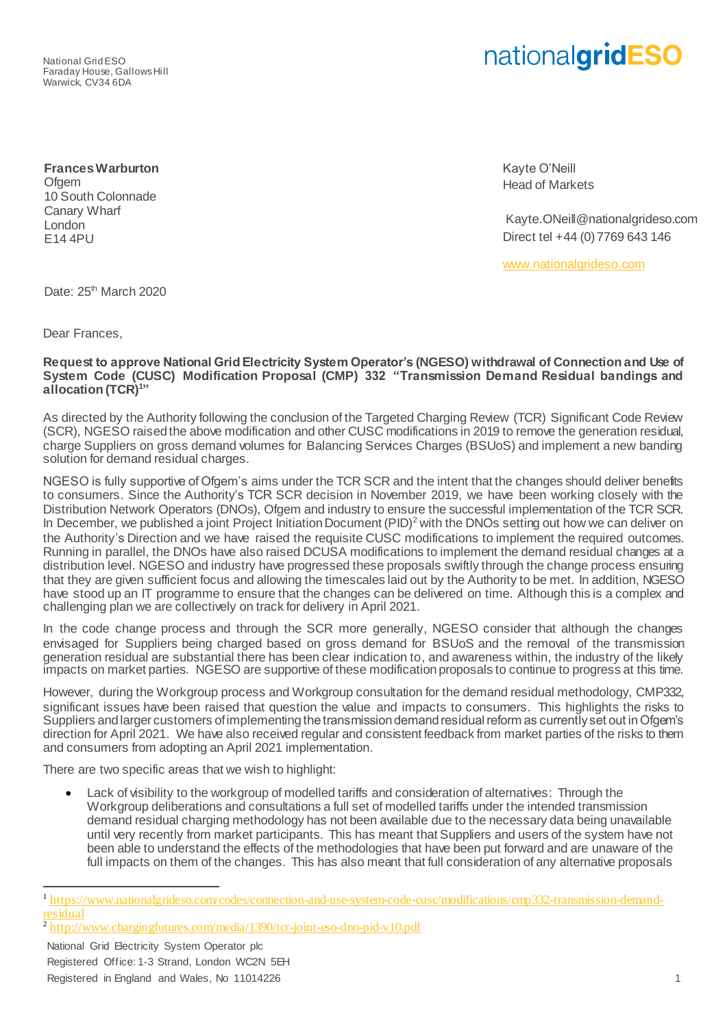National Grid ESO Faraday House, Gallows Hill Warwick, CV34 6DA

## nationalgridESO

**Frances Warburton** Ofgem 10 South Colonnade Canary Wharf London E14 4PU

Kayte O'Neill Head of Markets

Kayte.ONeill@nationalgrideso.com Direct tel +44 (0) 7769 643 146

[www.nationalgrideso.com](http://www.nationalgrideso.com/)

Date: 25<sup>th</sup> March 2020

Dear Frances,

## **Request to approve National Grid Electricity System Operator's (NGESO) withdrawal of Connection and Use of System Code (CUSC) Modification Proposal (CMP) 332 "Transmission Demand Residual bandings and allocation (TCR)<sup>1</sup> "**

As directed by the Authority following the conclusion of the Targeted Charging Review (TCR) Significant Code Review (SCR), NGESO raised the above modification and other CUSC modifications in 2019 to remove the generation residual, charge Suppliers on gross demand volumes for Balancing Services Charges (BSUoS) and implement a new banding solution for demand residual charges.

NGESO is fully supportive of Ofgem's aims under the TCR SCR and the intent that the changes should deliver benefits to consumers. Since the Authority's TCR SCR decision in November 2019, we have been working closely with the Distribution Network Operators (DNOs), Ofgem and industry to ensure the successful implementation of the TCR SCR. In December, we published a joint Project Initiation Document (PID)<sup>2</sup> with the DNOs setting out how we can deliver on the Authority's Direction and we have raised the requisite CUSC modifications to implement the required outcomes. Running in parallel, the DNOs have also raised DCUSA modifications to implement the demand residual changes at a distribution level. NGESO and industry have progressed these proposals swiftly through the change process ensuring that they are given sufficient focus and allowing the timescales laid out by the Authority to be met. In addition, NGESO have stood up an IT programme to ensure that the changes can be delivered on time. Although this is a complex and challenging plan we are collectively on track for delivery in April 2021.

In the code change process and through the SCR more generally, NGESO consider that although the changes envisaged for Suppliers being charged based on gross demand for BSUoS and the removal of the transmission generation residual are substantial there has been clear indication to, and awareness within, the industry of the likely impacts on market parties. NGESO are supportive of these modification proposals to continue to progress at this time.

However, during the Workgroup process and Workgroup consultation for the demand residual methodology, CMP332, significant issues have been raised that question the value and impacts to consumers. This highlights the risks to Suppliers and larger customers of implementing the transmission demand residual reform as currently set out in Ofgem's direction for April 2021. We have also received regular and consistent feedback from market parties of the risks to them and consumers from adopting an April 2021 implementation.

There are two specific areas that we wish to highlight:

Lack of visibility to the workgroup of modelled tariffs and consideration of alternatives: Through the Workgroup deliberations and consultations a full set of modelled tariffs under the intended transmission demand residual charging methodology has not been available due to the necessary data being unavailable until very recently from market participants. This has meant that Suppliers and users of the system have not been able to understand the effects of the methodologies that have been put forward and are unaware of the full impacts on them of the changes. This has also meant that full consideration of any alternative proposals

National Grid Electricity System Operator plc Registered Office: 1-3 Strand, London WC2N 5EH Registered in England and Wales, No 11014226 1 and the state of the state of the state of the state of the state of the state of the state of the state of the state of the state of the state of the state of the state of th

1

<sup>&</sup>lt;sup>1</sup> [https://www.nationalgrideso.com/codes/connection-and-use-system-code-cusc/modifications/cmp332-transmission-demand](https://www.nationalgrideso.com/codes/connection-and-use-system-code-cusc/modifications/cmp332-transmission-demand-residual)[residual](https://www.nationalgrideso.com/codes/connection-and-use-system-code-cusc/modifications/cmp332-transmission-demand-residual)

<sup>&</sup>lt;sup>2</sup> <http://www.chargingfutures.com/media/1390/tcr-joint-eso-dno-pid-v10.pdf>